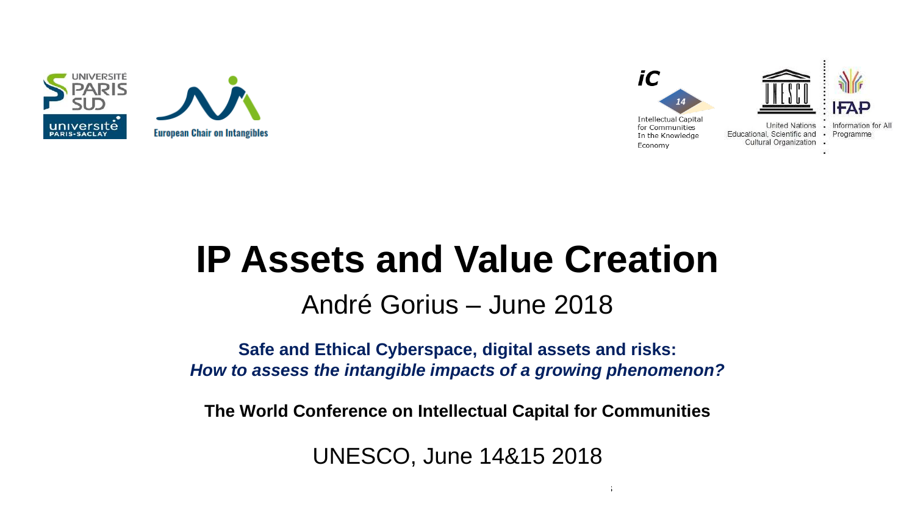



# **IP Assets and Value Creation**

André Gorius – June 2018

**Safe and Ethical Cyberspace, digital assets and risks:**  *How to assess the intangible impacts of a growing phenomenon?*

**The World Conference on Intellectual Capital for Communities**

UNESCO, June 14&15 2018

 $14\pm 15$ th June 2018 The World Conference on Intellectual Capital for Communities on Intellectual for Communities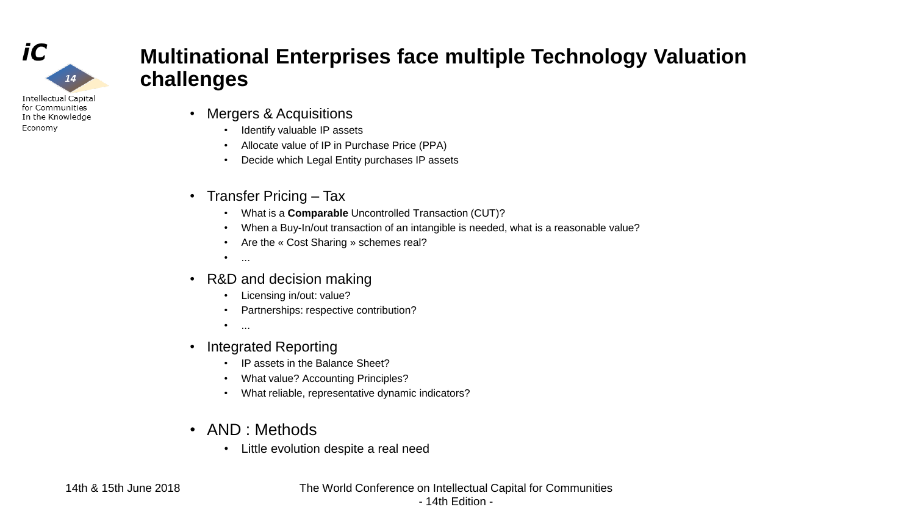

Economy

### **Multinational Enterprises face multiple Technology Valuation challenges**

- Mergers & Acquisitions
	- Identify valuable IP assets
	- Allocate value of IP in Purchase Price (PPA)
	- Decide which Legal Entity purchases IP assets
- Transfer Pricing Tax
	- What is a **Comparable** Uncontrolled Transaction (CUT)?
	- When a Buy-In/out transaction of an intangible is needed, what is a reasonable value?
	- Are the « Cost Sharing » schemes real?
	- $\bullet$  ...
- R&D and decision making
	- Licensing in/out: value?
	- Partnerships: respective contribution?
	- $\bullet$  ...
- Integrated Reporting
	- IP assets in the Balance Sheet?
	- What value? Accounting Principles?
	- What reliable, representative dynamic indicators?
- AND : Methods
	- Little evolution despite a real need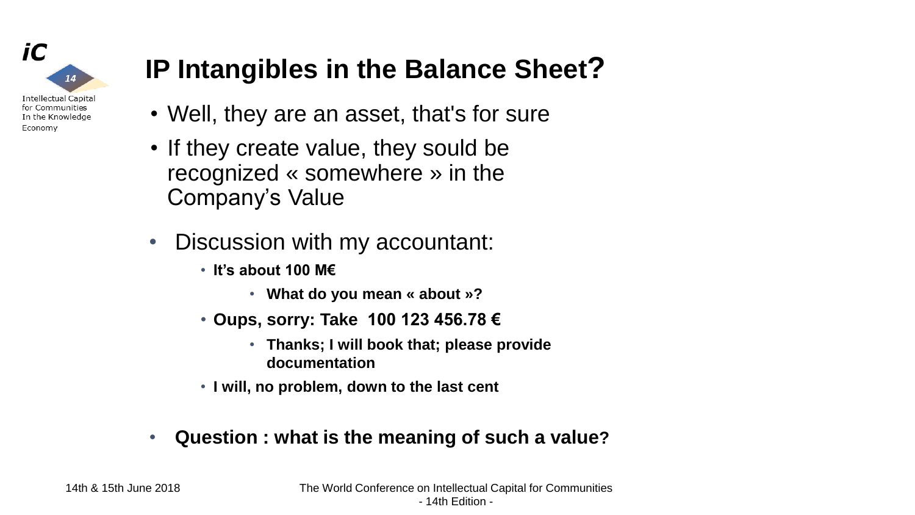

## **IP Intangibles in the Balance Sheet?**

- Well, they are an asset, that's for sure
- If they create value, they sould be recognized « somewhere » in the Company's Value
- Discussion with my accountant:
	- **It's about 100 M€**
		- **What do you mean « about »?**
	- **Oups, sorry: Take 100 123 456.78 €**
		- **Thanks; I will book that; please provide documentation**
	- **I will, no problem, down to the last cent**
- **Question : what is the meaning of such a value?**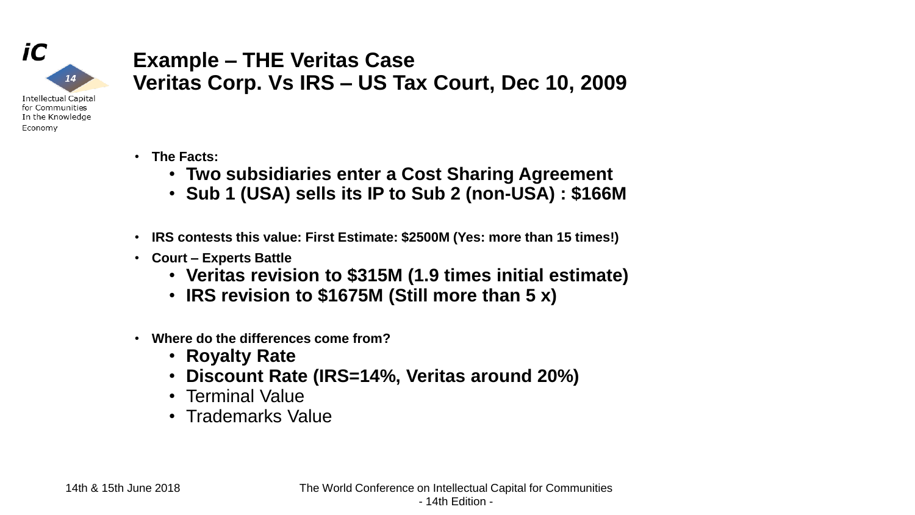

#### **Example – THE Veritas Case Veritas Corp. Vs IRS – US Tax Court, Dec 10, 2009**

- **Intellectual Capital** for Communities In the Knowledge Economy
- **The Facts:**
	- **Two subsidiaries enter a Cost Sharing Agreement**
	- **Sub 1 (USA) sells its IP to Sub 2 (non-USA) : \$166M**
- **IRS contests this value: First Estimate: \$2500M (Yes: more than 15 times!)**
- **Court – Experts Battle**
	- **Veritas revision to \$315M (1.9 times initial estimate)**
	- **IRS revision to \$1675M (Still more than 5 x)**
- **Where do the differences come from?**
	- **Royalty Rate**
	- **Discount Rate (IRS=14%, Veritas around 20%)**
	- Terminal Value
	- Trademarks Value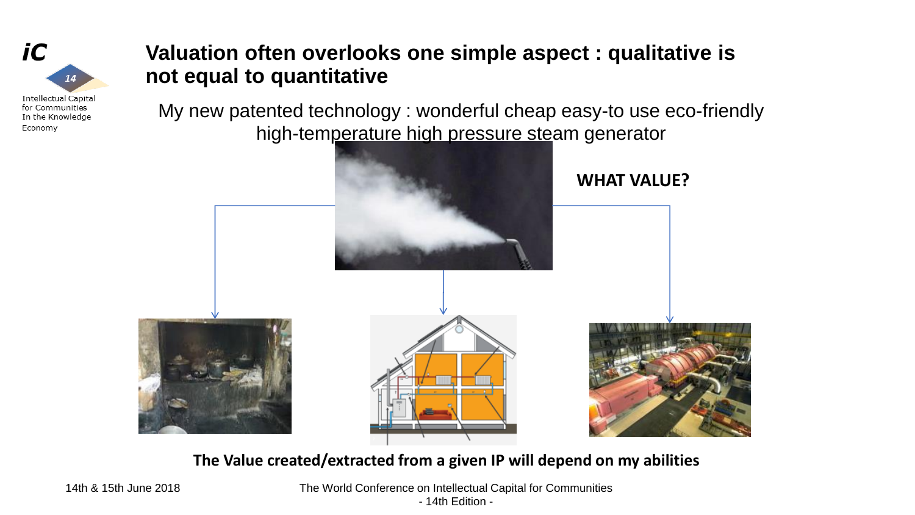

**Valuation often overlooks one simple aspect : qualitative is not equal to quantitative**

My new patented technology : wonderful cheap easy-to use eco-friendly high-temperature high pressure steam generator



**The Value created/extracted from a given IP will depend on my abilities**

14th & 15th June 2018 The World Conference on Intellectual Capital for Communities - 14th Edition -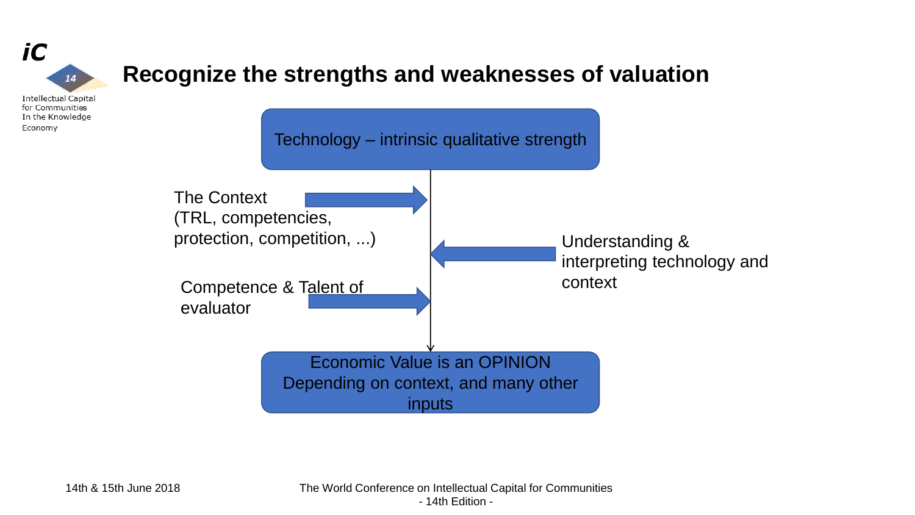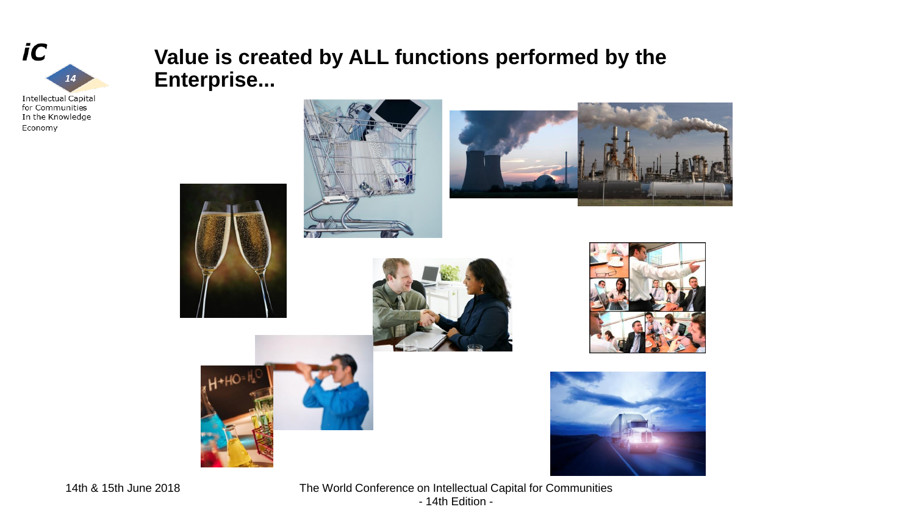

#### **Value is created by ALL functions performed by the Enterprise...**

In the Knowledge Economy















14th & 15th June 2018 The World Conference on Intellectual Capital for Communities - 14th Edition -